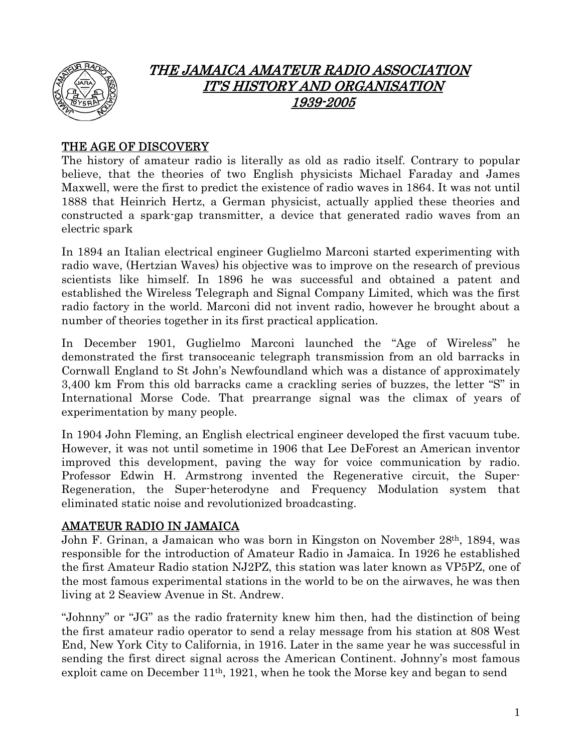

# THE JAMAICA AMATEUR RADIO ASSOCIATION IT'S HISTORY AND ORGANISATION 1939-2005

## THE AGE OF DISCOVERY

The history of amateur radio is literally as old as radio itself. Contrary to popular believe, that the theories of two English physicists Michael Faraday and James Maxwell, were the first to predict the existence of radio waves in 1864. It was not until 1888 that Heinrich Hertz, a German physicist, actually applied these theories and constructed a spark-gap transmitter, a device that generated radio waves from an electric spark

In 1894 an Italian electrical engineer Guglielmo Marconi started experimenting with radio wave, (Hertzian Waves) his objective was to improve on the research of previous scientists like himself. In 1896 he was successful and obtained a patent and established the Wireless Telegraph and Signal Company Limited, which was the first radio factory in the world. Marconi did not invent radio, however he brought about a number of theories together in its first practical application.

In December 1901, Guglielmo Marconi launched the "Age of Wireless" he demonstrated the first transoceanic telegraph transmission from an old barracks in Cornwall England to St John's Newfoundland which was a distance of approximately 3,400 km From this old barracks came a crackling series of buzzes, the letter "S" in International Morse Code. That prearrange signal was the climax of years of experimentation by many people.

In 1904 John Fleming, an English electrical engineer developed the first vacuum tube. However, it was not until sometime in 1906 that Lee DeForest an American inventor improved this development, paving the way for voice communication by radio. Professor Edwin H. Armstrong invented the Regenerative circuit, the Super-Regeneration, the Super-heterodyne and Frequency Modulation system that eliminated static noise and revolutionized broadcasting.

### AMATEUR RADIO IN JAMAICA

John F. Grinan, a Jamaican who was born in Kingston on November 28th, 1894, was responsible for the introduction of Amateur Radio in Jamaica. In 1926 he established the first Amateur Radio station NJ2PZ, this station was later known as VP5PZ, one of the most famous experimental stations in the world to be on the airwaves, he was then living at 2 Seaview Avenue in St. Andrew.

"Johnny" or "JG" as the radio fraternity knew him then, had the distinction of being the first amateur radio operator to send a relay message from his station at 808 West End, New York City to California, in 1916. Later in the same year he was successful in sending the first direct signal across the American Continent. Johnny's most famous exploit came on December 11th, 1921, when he took the Morse key and began to send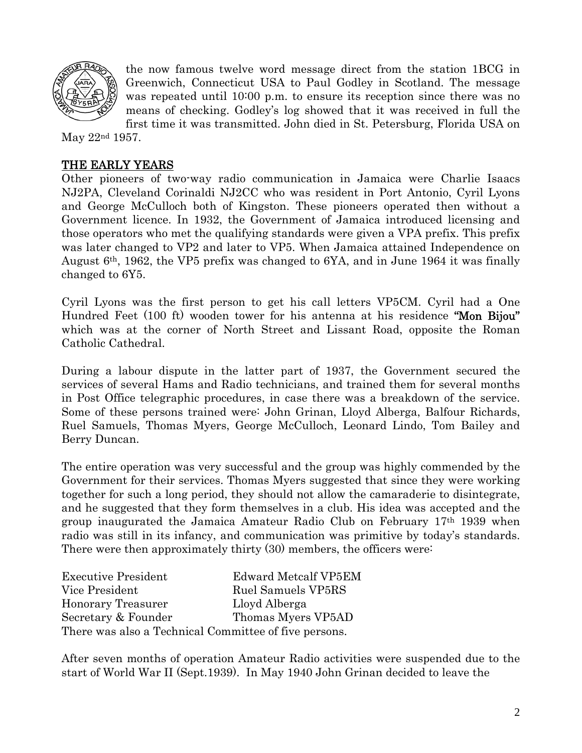

the now famous twelve word message direct from the station 1BCG in Greenwich, Connecticut USA to Paul Godley in Scotland. The message was repeated until 10:00 p.m. to ensure its reception since there was no means of checking. Godley's log showed that it was received in full the first time it was transmitted. John died in St. Petersburg, Florida USA on

May 22nd 1957.

### THE EARLY YEARS

Other pioneers of two-way radio communication in Jamaica were Charlie Isaacs NJ2PA, Cleveland Corinaldi NJ2CC who was resident in Port Antonio, Cyril Lyons and George McCulloch both of Kingston. These pioneers operated then without a Government licence. In 1932, the Government of Jamaica introduced licensing and those operators who met the qualifying standards were given a VPA prefix. This prefix was later changed to VP2 and later to VP5. When Jamaica attained Independence on August 6th, 1962, the VP5 prefix was changed to 6YA, and in June 1964 it was finally changed to 6Y5.

Cyril Lyons was the first person to get his call letters VP5CM. Cyril had a One Hundred Feet (100 ft) wooden tower for his antenna at his residence "Mon Bijou" which was at the corner of North Street and Lissant Road, opposite the Roman Catholic Cathedral.

During a labour dispute in the latter part of 1937, the Government secured the services of several Hams and Radio technicians, and trained them for several months in Post Office telegraphic procedures, in case there was a breakdown of the service. Some of these persons trained were: John Grinan, Lloyd Alberga, Balfour Richards, Ruel Samuels, Thomas Myers, George McCulloch, Leonard Lindo, Tom Bailey and Berry Duncan.

The entire operation was very successful and the group was highly commended by the Government for their services. Thomas Myers suggested that since they were working together for such a long period, they should not allow the camaraderie to disintegrate, and he suggested that they form themselves in a club. His idea was accepted and the group inaugurated the Jamaica Amateur Radio Club on February 17th 1939 when radio was still in its infancy, and communication was primitive by today's standards. There were then approximately thirty (30) members, the officers were:

| <b>Executive President</b>                            | <b>Edward Metcalf VP5EM</b> |
|-------------------------------------------------------|-----------------------------|
| Vice President                                        | Ruel Samuels VP5RS          |
| Honorary Treasurer                                    | Lloyd Alberga               |
| Secretary & Founder                                   | Thomas Myers VP5AD          |
| There was also a Technical Committee of five persons. |                             |

After seven months of operation Amateur Radio activities were suspended due to the start of World War II (Sept.1939). In May 1940 John Grinan decided to leave the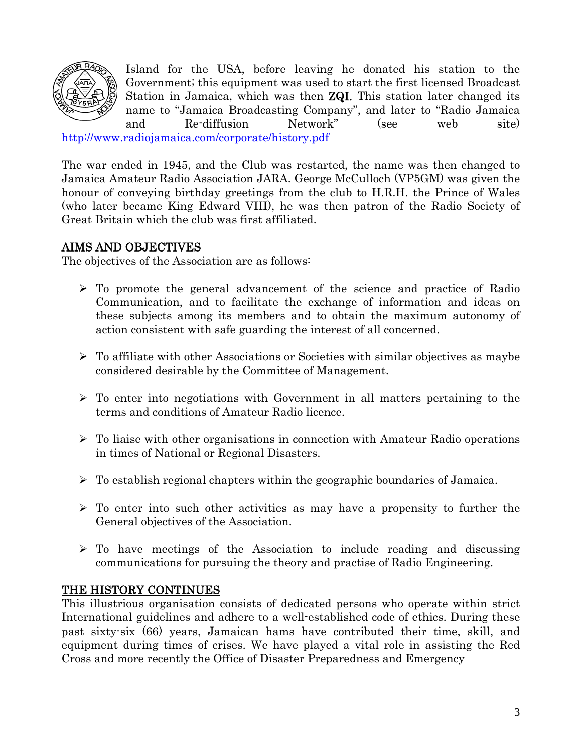

Island for the USA, before leaving he donated his station to the Government; this equipment was used to start the first licensed Broadcast Station in Jamaica, which was then **ZQI**. This station later changed its name to "Jamaica Broadcasting Company", and later to "Radio Jamaica and Re-diffusion Network" (see web site)

<http://www.radiojamaica.com/corporate/history.pdf>

The war ended in 1945, and the Club was restarted, the name was then changed to Jamaica Amateur Radio Association JARA. George McCulloch (VP5GM) was given the honour of conveying birthday greetings from the club to H.R.H. the Prince of Wales (who later became King Edward VIII), he was then patron of the Radio Society of Great Britain which the club was first affiliated.

## AIMS AND OBJECTIVES

The objectives of the Association are as follows:

- $\triangleright$  To promote the general advancement of the science and practice of Radio Communication, and to facilitate the exchange of information and ideas on these subjects among its members and to obtain the maximum autonomy of action consistent with safe guarding the interest of all concerned.
- $\triangleright$  To affiliate with other Associations or Societies with similar objectives as maybe considered desirable by the Committee of Management.
- $\triangleright$  To enter into negotiations with Government in all matters pertaining to the terms and conditions of Amateur Radio licence.
- $\triangleright$  To liaise with other organisations in connection with Amateur Radio operations in times of National or Regional Disasters.
- $\triangleright$  To establish regional chapters within the geographic boundaries of Jamaica.
- $\triangleright$  To enter into such other activities as may have a propensity to further the General objectives of the Association.
- $\triangleright$  To have meetings of the Association to include reading and discussing communications for pursuing the theory and practise of Radio Engineering.

## THE HISTORY CONTINUES

This illustrious organisation consists of dedicated persons who operate within strict International guidelines and adhere to a well-established code of ethics. During these past sixty-six (66) years, Jamaican hams have contributed their time, skill, and equipment during times of crises. We have played a vital role in assisting the Red Cross and more recently the Office of Disaster Preparedness and Emergency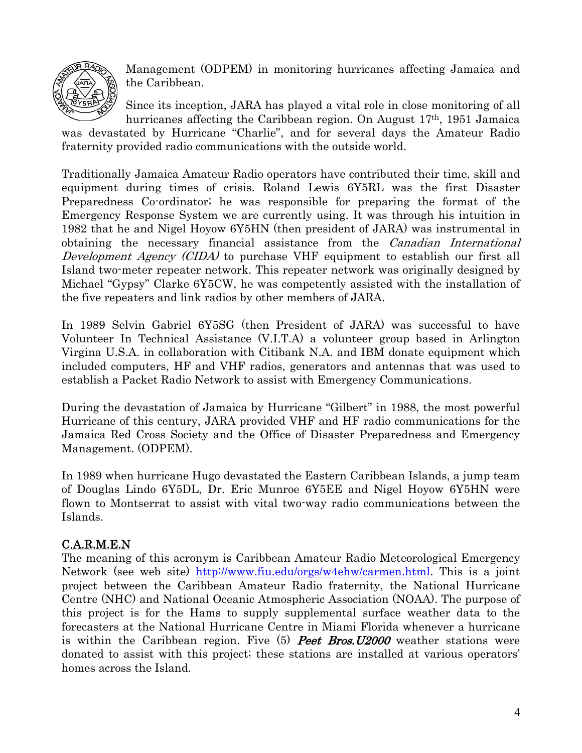

Management (ODPEM) in monitoring hurricanes affecting Jamaica and the Caribbean.

Since its inception, JARA has played a vital role in close monitoring of all hurricanes affecting the Caribbean region. On August 17th, 1951 Jamaica

was devastated by Hurricane "Charlie", and for several days the Amateur Radio fraternity provided radio communications with the outside world.

Traditionally Jamaica Amateur Radio operators have contributed their time, skill and equipment during times of crisis. Roland Lewis 6Y5RL was the first Disaster Preparedness Co-ordinator; he was responsible for preparing the format of the Emergency Response System we are currently using. It was through his intuition in 1982 that he and Nigel Hoyow 6Y5HN (then president of JARA) was instrumental in obtaining the necessary financial assistance from the *Canadian International* Development Agency (CIDA) to purchase VHF equipment to establish our first all Island two-meter repeater network. This repeater network was originally designed by Michael "Gypsy" Clarke 6Y5CW, he was competently assisted with the installation of the five repeaters and link radios by other members of JARA.

In 1989 Selvin Gabriel 6Y5SG (then President of JARA) was successful to have Volunteer In Technical Assistance (V.I.T.A) a volunteer group based in Arlington Virgina U.S.A. in collaboration with Citibank N.A. and IBM donate equipment which included computers, HF and VHF radios, generators and antennas that was used to establish a Packet Radio Network to assist with Emergency Communications.

During the devastation of Jamaica by Hurricane "Gilbert" in 1988, the most powerful Hurricane of this century, JARA provided VHF and HF radio communications for the Jamaica Red Cross Society and the Office of Disaster Preparedness and Emergency Management. (ODPEM).

In 1989 when hurricane Hugo devastated the Eastern Caribbean Islands, a jump team of Douglas Lindo 6Y5DL, Dr. Eric Munroe 6Y5EE and Nigel Hoyow 6Y5HN were flown to Montserrat to assist with vital two-way radio communications between the Islands.

## C.A.R.M.E.N

The meaning of this acronym is Caribbean Amateur Radio Meteorological Emergency Network (see web site) [http://www.fiu.edu/orgs/w4ehw/carmen.html.](http://www.fiu.edu/orgs/w4ehw/carmen.html) This is a joint project between the Caribbean Amateur Radio fraternity, the National Hurricane Centre (NHC) and National Oceanic Atmospheric Association (NOAA). The purpose of this project is for the Hams to supply supplemental surface weather data to the forecasters at the National Hurricane Centre in Miami Florida whenever a hurricane is within the Caribbean region. Five  $(5)$  **Peet Bros.** U2000 weather stations were donated to assist with this project; these stations are installed at various operators' homes across the Island.